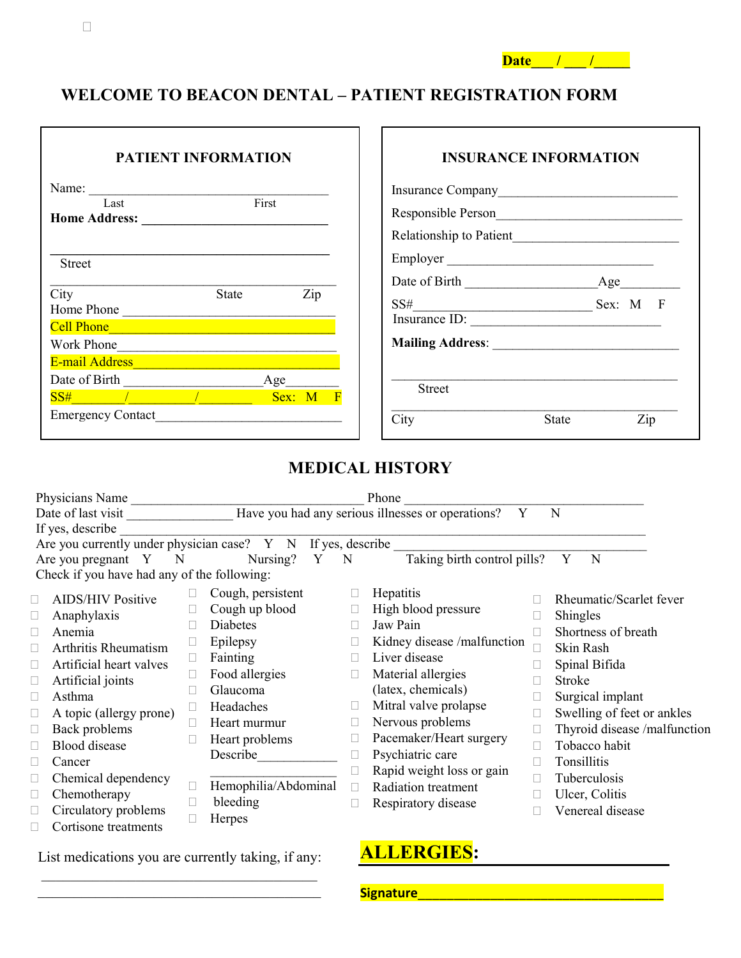| Date |  |
|------|--|
|------|--|

### **WELCOME TO BEACON DENTAL – PATIENT REGISTRATION FORM**

| <b>PATIENT INFORMATION</b>                                                                                                                                                                                                                                                                                                                                                                             | <b>INSURANCE INFORMATION</b> |
|--------------------------------------------------------------------------------------------------------------------------------------------------------------------------------------------------------------------------------------------------------------------------------------------------------------------------------------------------------------------------------------------------------|------------------------------|
| Name:<br>First                                                                                                                                                                                                                                                                                                                                                                                         |                              |
| Last                                                                                                                                                                                                                                                                                                                                                                                                   |                              |
|                                                                                                                                                                                                                                                                                                                                                                                                        |                              |
| <b>Street</b>                                                                                                                                                                                                                                                                                                                                                                                          | Employer                     |
|                                                                                                                                                                                                                                                                                                                                                                                                        |                              |
| City<br>Zip<br><b>State</b><br>Home Phone                                                                                                                                                                                                                                                                                                                                                              |                              |
| Cell Phone <b>Contained by College and Contained by College</b> and Contained by Contact and Contact and Contact and Co                                                                                                                                                                                                                                                                                |                              |
| Work Phone                                                                                                                                                                                                                                                                                                                                                                                             |                              |
| E-mail Address                                                                                                                                                                                                                                                                                                                                                                                         |                              |
| $Age$ <sub>____</sub>                                                                                                                                                                                                                                                                                                                                                                                  | <b>Street</b>                |
| $SS#$ / $\qquad \qquad$ / $\qquad \qquad$ / $\qquad \qquad$ / $\qquad \qquad$ / $\qquad \qquad$ / $\qquad \qquad$ / $\qquad \qquad$ / $\qquad \qquad$ / $\qquad \qquad$ / $\qquad \qquad$ / $\qquad \qquad$ / $\qquad \qquad$ / $\qquad \qquad$ / $\qquad \qquad$ / $\qquad \qquad$ / $\qquad \qquad$ / $\qquad \qquad$ / $\qquad \qquad$ / $\qquad \qquad$ / $\qquad \$<br><b>Example 18 Sex:</b> M F |                              |
| <b>Emergency Contact</b>                                                                                                                                                                                                                                                                                                                                                                               | City<br>Zip<br>State         |

## **MEDICAL HISTORY**

| Physicians Name<br>Phone                                              |                                   |  |                      |                  |                                                        |   |                              |
|-----------------------------------------------------------------------|-----------------------------------|--|----------------------|------------------|--------------------------------------------------------|---|------------------------------|
| Date of last visit                                                    |                                   |  |                      |                  | Have you had any serious illnesses or operations?<br>Y | N |                              |
| If yes, describe                                                      |                                   |  |                      |                  |                                                        |   |                              |
| Are you currently under physician case? $Y \times N$ If yes, describe |                                   |  |                      |                  |                                                        |   |                              |
|                                                                       | Are you pregnant Y<br>$\mathbf N$ |  | Nursing?             | Y<br>$\mathbf N$ | Taking birth control pills?                            |   | Y<br>N                       |
| Check if you have had any of the following:                           |                                   |  |                      |                  |                                                        |   |                              |
|                                                                       | <b>AIDS/HIV Positive</b>          |  | Cough, persistent    |                  | Hepatitis                                              |   | Rheumatic/Scarlet fever      |
|                                                                       | Anaphylaxis                       |  | Cough up blood       | L                | High blood pressure                                    |   | Shingles                     |
|                                                                       | Anemia                            |  | Diabetes             |                  | Jaw Pain                                               |   | Shortness of breath          |
|                                                                       | Arthritis Rheumatism              |  | Epilepsy             | Г                | Kidney disease /malfunction                            |   | Skin Rash                    |
|                                                                       | Artificial heart valves           |  | Fainting             | Н                | Liver disease                                          |   | Spinal Bifida                |
|                                                                       | Artificial joints                 |  | Food allergies       | $\Box$           | Material allergies                                     |   | Stroke                       |
|                                                                       | Asthma                            |  | Glaucoma             |                  | (latex, chemicals)                                     |   | Surgical implant             |
|                                                                       | A topic (allergy prone)           |  | Headaches            | L                | Mitral valve prolapse                                  | Г | Swelling of feet or ankles   |
|                                                                       | Back problems                     |  | Heart murmur         | L                | Nervous problems                                       |   | Thyroid disease /malfunction |
|                                                                       | <b>Blood</b> disease              |  | Heart problems       | L                | Pacemaker/Heart surgery                                |   | Tobacco habit                |
|                                                                       | Cancer                            |  | Describe             |                  | Psychiatric care                                       |   | Tonsillitis                  |
|                                                                       | Chemical dependency               |  |                      |                  | Rapid weight loss or gain                              |   | Tuberculosis                 |
|                                                                       | Chemotherapy                      |  | Hemophilia/Abdominal | П                | Radiation treatment                                    |   | Ulcer, Colitis               |
|                                                                       | Circulatory problems              |  | bleeding             |                  | Respiratory disease                                    |   | Venereal disease             |
|                                                                       | Cortisone treatments              |  | Herpes               |                  |                                                        |   |                              |

List medications you are currently taking, if any:

\_\_\_\_\_\_\_\_\_\_\_\_\_\_\_\_\_\_\_\_\_\_\_\_\_\_\_\_\_\_\_\_\_\_\_\_\_\_

# **ALLERGIES:**

**Signature**\_\_\_\_\_\_\_\_\_\_\_\_\_\_\_\_\_\_\_\_\_\_\_\_\_\_\_\_\_\_\_\_\_\_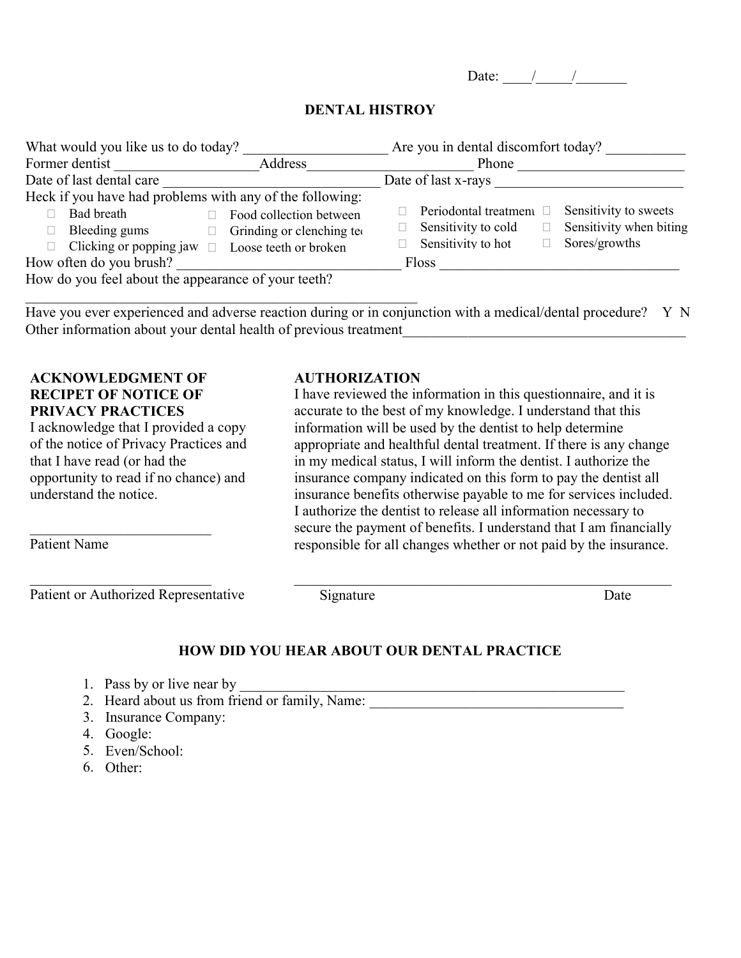Date:  $\frac{1}{2}$  /

### **DENTAL HISTROY**

| What would you like us to do today?                                                                                                                                                                        | Are you in dental discomfort today?                                                                                                               |  |  |  |  |
|------------------------------------------------------------------------------------------------------------------------------------------------------------------------------------------------------------|---------------------------------------------------------------------------------------------------------------------------------------------------|--|--|--|--|
| Address<br>Former dentist                                                                                                                                                                                  | Phone                                                                                                                                             |  |  |  |  |
| Date of last dental care                                                                                                                                                                                   | Date of last x-rays                                                                                                                               |  |  |  |  |
| Heck if you have had problems with any of the following:<br>Bad breath<br>Food collection between<br>Bleeding gums<br>Grinding or clenching teo<br>Clicking or popping jaw $\Box$<br>Loose teeth or broken | Sensitivity to sweets<br>Periodontal treatment $\square$<br>Sensitivity when biting<br>Sensitivity to cold<br>Sensitivity to hot<br>Sores/growths |  |  |  |  |
| How often do you brush?                                                                                                                                                                                    | <b>Floss</b>                                                                                                                                      |  |  |  |  |
| How do you feel about the appearance of your teeth?                                                                                                                                                        |                                                                                                                                                   |  |  |  |  |

Have you ever experienced and adverse reaction during or in conjunction with a medical/dental procedure? Y N Other information about your dental health of previous treatment

### **ACKNOWLEDGMENT OF RECIPET OF NOTICE OF PRIVACY PRACTICES**

\_\_\_\_\_\_\_\_\_\_\_\_\_\_\_\_\_\_\_\_\_\_\_\_\_

\_\_\_\_\_\_\_\_\_\_\_\_\_\_\_\_\_\_\_\_\_\_\_\_\_

I acknowledge that I provided a copy of the notice of Privacy Practices and that I have read (or had the opportunity to read if no chance) and understand the notice.

Patient Name

Patient or Authorized Representative

### **AUTHORIZATION**

I have reviewed the information in this questionnaire, and it is accurate to the best of my knowledge. I understand that this information will be used by the dentist to help determine appropriate and healthful dental treatment. If there is any change in my medical status, I will inform the dentist. I authorize the insurance company indicated on this form to pay the dentist all insurance benefits otherwise payable to me for services included. I authorize the dentist to release all information necessary to secure the payment of benefits. I understand that I am financially responsible for all changes whether or not paid by the insurance.

\_\_\_\_\_\_\_\_\_\_\_\_\_\_\_\_\_\_\_\_\_\_\_\_\_\_\_\_\_\_\_\_\_\_\_\_\_\_\_\_\_\_\_\_\_\_\_\_\_\_\_\_

Signature Date

### **HOW DID YOU HEAR ABOUT OUR DENTAL PRACTICE**

- 1. Pass by or live near by
- 2. Heard about us from friend or family, Name:
- 3. Insurance Company:
- 4. Google:
- 5. Even/School:
- $6.$  Other: Other: 6.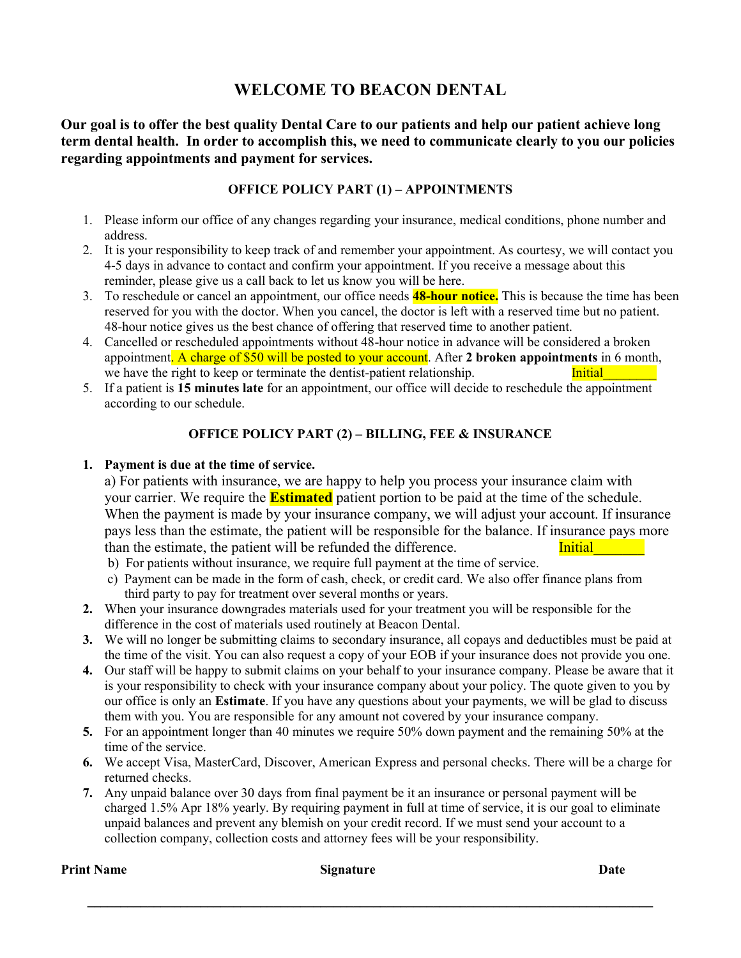### **WELCOME TO BEACON DENTAL**

**Our goal is to offer the best quality Dental Care to our patients and help our patient achieve long term dental health. In order to accomplish this, we need to communicate clearly to you our policies regarding appointments and payment for services.** 

### **OFFICE POLICY PART (1) – APPOINTMENTS**

- 1. Please inform our office of any changes regarding your insurance, medical conditions, phone number and address.
- 2. It is your responsibility to keep track of and remember your appointment. As courtesy, we will contact you 4-5 days in advance to contact and confirm your appointment. If you receive a message about this reminder, please give us a call back to let us know you will be here.
- 3. To reschedule or cancel an appointment, our office needs **48-hour notice.** This is because the time has been reserved for you with the doctor. When you cancel, the doctor is left with a reserved time but no patient. 48-hour notice gives us the best chance of offering that reserved time to another patient.
- 4. Cancelled or rescheduled appointments without 48-hour notice in advance will be considered a broken appointment. A charge of \$50 will be posted to your account. After **2 broken appointments** in 6 month, we have the right to keep or terminate the dentist-patient relationship. Initial
- 5. If a patient is **15 minutes late** for an appointment, our office will decide to reschedule the appointment according to our schedule.

### **OFFICE POLICY PART (2) – BILLING, FEE & INSURANCE**

#### **1. Payment is due at the time of service.**

a) For patients with insurance, we are happy to help you process your insurance claim with your carrier. We require the **Estimated** patient portion to be paid at the time of the schedule. When the payment is made by your insurance company, we will adjust your account. If insurance pays less than the estimate, the patient will be responsible for the balance. If insurance pays more than the estimate, the patient will be refunded the difference.

- b) For patients without insurance, we require full payment at the time of service.
- c) Payment can be made in the form of cash, check, or credit card. We also offer finance plans from third party to pay for treatment over several months or years.
- **2.** When your insurance downgrades materials used for your treatment you will be responsible for the difference in the cost of materials used routinely at Beacon Dental.
- **3.** We will no longer be submitting claims to secondary insurance, all copays and deductibles must be paid at the time of the visit. You can also request a copy of your EOB if your insurance does not provide you one.
- **4.** Our staff will be happy to submit claims on your behalf to your insurance company. Please be aware that it is your responsibility to check with your insurance company about your policy. The quote given to you by our office is only an **Estimate**. If you have any questions about your payments, we will be glad to discuss them with you. You are responsible for any amount not covered by your insurance company.
- **5.** For an appointment longer than 40 minutes we require 50% down payment and the remaining 50% at the time of the service.
- **6.** We accept Visa, MasterCard, Discover, American Express and personal checks. There will be a charge for returned checks.
- **7.** Any unpaid balance over 30 days from final payment be it an insurance or personal payment will be charged 1.5% Apr 18% yearly. By requiring payment in full at time of service, it is our goal to eliminate unpaid balances and prevent any blemish on your credit record. If we must send your account to a collection company, collection costs and attorney fees will be your responsibility.

**\_\_\_\_\_\_\_\_\_\_\_\_\_\_\_\_\_\_\_\_\_\_\_\_\_\_\_\_\_\_\_\_\_\_\_\_\_\_\_\_\_\_\_\_\_\_\_\_\_\_\_\_\_\_\_\_\_\_\_\_\_\_\_\_\_\_\_\_\_\_\_\_\_\_\_\_\_\_\_\_\_\_\_\_\_** 

**Print Name** Date **Date** Signature **Signature** Date